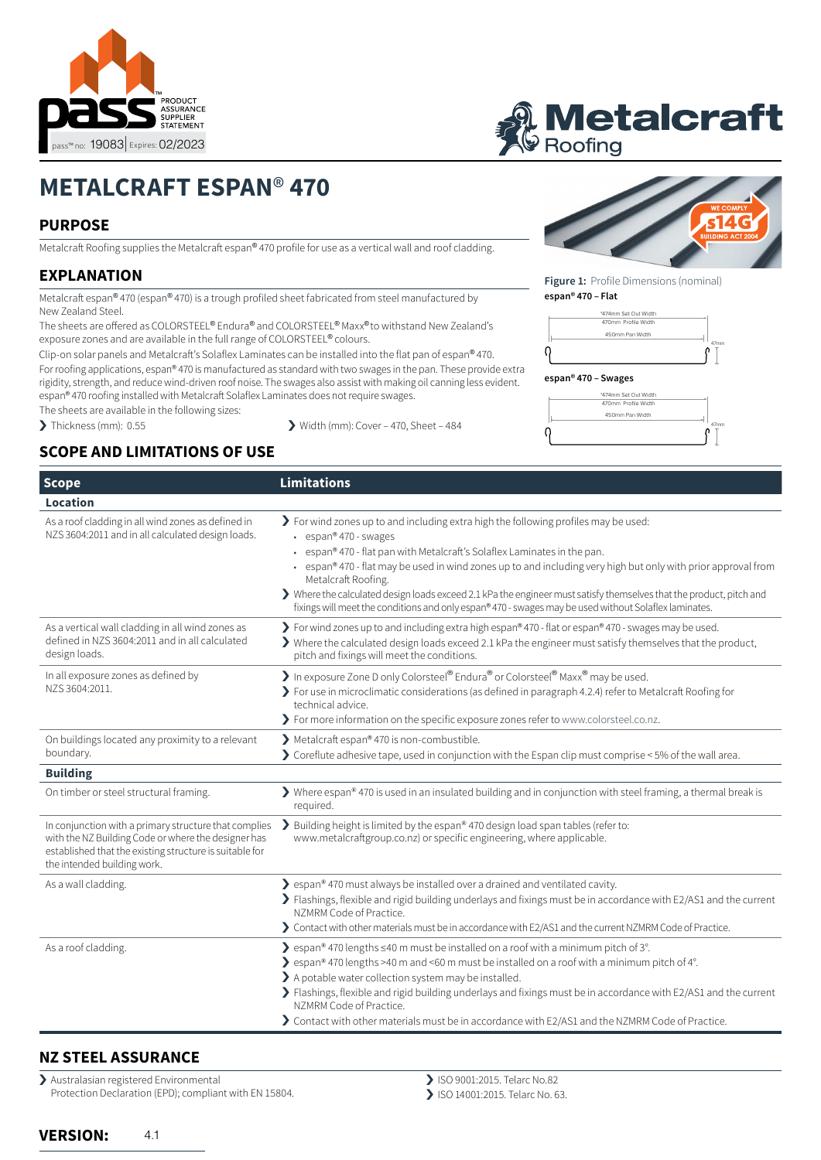

# **IVIE TAIC FATT**<br>Roofing Profile dimensions are nominal and may vary depending on material. Profile dimensions are not set out dimensions. If a specific set out is required please liaise with Metalcraft Roofing.

# **METALCRAFT ESPAN**® **470**

## **PURPOSE**

Metalcraft Roofing supplies the Metalcraft espan® 470 profile for use as a vertical wall and roof cladding.

# **EXPLANATION**

Metalcraft espan® 470 (espan® 470) is a trough profiled sheet fabricated from steel manufactured by New Zealand Steel.

The sheets are offered as COLORSTEEL® Endura® and COLORSTEEL® Maxx® to withstand New Zealand's exposure zones and are available in the full range of COLORSTEEL® colours.

Clip-on solar panels and Metalcraft's Solaflex Laminates can be installed into the flat pan of espan® 470. For roofing applications, espan® 470 is manufactured as standard with two swages in the pan. These provide extra rigidity, strength, and reduce wind-driven roof noise. The swages also assist with making oil canning less evident. espan® 470 roofing installed with Metalcraft Solaflex Laminates does not require swages.

The sheets are available in the following sizes:

> Thickness (mm): 0.55 > Width (mm): Cover – 470, Sheet – 484

# **SCOPE AND LIMITATIONS OF USE**



**Figure 1:** Profile Dimensions (nominal) espan® 470 roofing installed with Metalcraft Solaflex Laminates does not require swages. **espan® 470 – Flat** 



#### Profile dimensions are nominal and may vary depending on material. **espan® 470 – Swages**



Profile dimensions are nominal and may vary depending on material.

Profile dimensions are not set out dimensions. If a specific set out is required please liaise with Metalcraft Roofing.

| <b>Scope</b>                                                                                                                                                                                                                                                                                                                                                             | Limitations                                                                                                                                                                                                                                                                                                                                                                                                                                                                                                                                                        |  |
|--------------------------------------------------------------------------------------------------------------------------------------------------------------------------------------------------------------------------------------------------------------------------------------------------------------------------------------------------------------------------|--------------------------------------------------------------------------------------------------------------------------------------------------------------------------------------------------------------------------------------------------------------------------------------------------------------------------------------------------------------------------------------------------------------------------------------------------------------------------------------------------------------------------------------------------------------------|--|
| Location                                                                                                                                                                                                                                                                                                                                                                 |                                                                                                                                                                                                                                                                                                                                                                                                                                                                                                                                                                    |  |
| As a roof cladding in all wind zones as defined in<br>NZS 3604:2011 and in all calculated design loads.                                                                                                                                                                                                                                                                  | > For wind zones up to and including extra high the following profiles may be used:<br>$\cdot$ espan® 470 - swages<br>espan® 470 - flat pan with Metalcraft's Solaflex Laminates in the pan.<br>espan® 470 - flat may be used in wind zones up to and including very high but only with prior approval from<br>Metalcraft Roofing.<br>> Where the calculated design loads exceed 2.1 kPa the engineer must satisfy themselves that the product, pitch and<br>fixings will meet the conditions and only espan® 470 - swages may be used without Solaflex laminates. |  |
| As a vertical wall cladding in all wind zones as<br>defined in NZS 3604:2011 and in all calculated<br>design loads.                                                                                                                                                                                                                                                      | > For wind zones up to and including extra high espan® 470 - flat or espan® 470 - swages may be used.<br>> Where the calculated design loads exceed 2.1 kPa the engineer must satisfy themselves that the product,<br>pitch and fixings will meet the conditions.                                                                                                                                                                                                                                                                                                  |  |
| In all exposure zones as defined by<br>NZS 3604:2011.                                                                                                                                                                                                                                                                                                                    | In exposure Zone D only Colorsteel® Endura® or Colorsteel® Maxx® may be used.<br>> For use in microclimatic considerations (as defined in paragraph 4.2.4) refer to Metalcraft Roofing for<br>technical advice.<br>> For more information on the specific exposure zones refer to www.colorsteel.co.nz.                                                                                                                                                                                                                                                            |  |
| On buildings located any proximity to a relevant<br>boundary.                                                                                                                                                                                                                                                                                                            | Metalcraft espan® 470 is non-combustible.<br>> Coreflute adhesive tape, used in conjunction with the Espan clip must comprise < 5% of the wall area.                                                                                                                                                                                                                                                                                                                                                                                                               |  |
| <b>Building</b>                                                                                                                                                                                                                                                                                                                                                          |                                                                                                                                                                                                                                                                                                                                                                                                                                                                                                                                                                    |  |
| On timber or steel structural framing.                                                                                                                                                                                                                                                                                                                                   | > Where espan® 470 is used in an insulated building and in conjunction with steel framing, a thermal break is<br>required.                                                                                                                                                                                                                                                                                                                                                                                                                                         |  |
| In conjunction with a primary structure that complies<br>with the NZ Building Code or where the designer has<br>established that the existing structure is suitable for<br>the intended building work.                                                                                                                                                                   | > Building height is limited by the espan® 470 design load span tables (refer to:<br>www.metalcraftgroup.co.nz) or specific engineering, where applicable.                                                                                                                                                                                                                                                                                                                                                                                                         |  |
| Solutions are span® 470 must always be installed over a drained and ventilated cavity.<br>As a wall cladding.<br>> Flashings, flexible and rigid building underlays and fixings must be in accordance with E2/AS1 and the current<br>NZMRM Code of Practice.<br>> Contact with other materials must be in accordance with E2/AS1 and the current NZMRM Code of Practice. |                                                                                                                                                                                                                                                                                                                                                                                                                                                                                                                                                                    |  |
| As a roof cladding.                                                                                                                                                                                                                                                                                                                                                      | ▶ espan® 470 lengths ≤40 m must be installed on a roof with a minimum pitch of 3°.<br>$\ge$ espan® 470 lengths >40 m and <60 m must be installed on a roof with a minimum pitch of 4°.<br>> A potable water collection system may be installed.<br>> Flashings, flexible and rigid building underlays and fixings must be in accordance with E2/AS1 and the current<br>NZMRM Code of Practice.<br>> Contact with other materials must be in accordance with E2/AS1 and the NZMRM Code of Practice.                                                                 |  |

## **NZ STEEL ASSURANCE**

› Australasian registered Environmental Protection Declaration (EPD); compliant with EN 15804. > ISO 9001:2015. Telarc No.82

› ISO 14001:2015. Telarc No. 63.